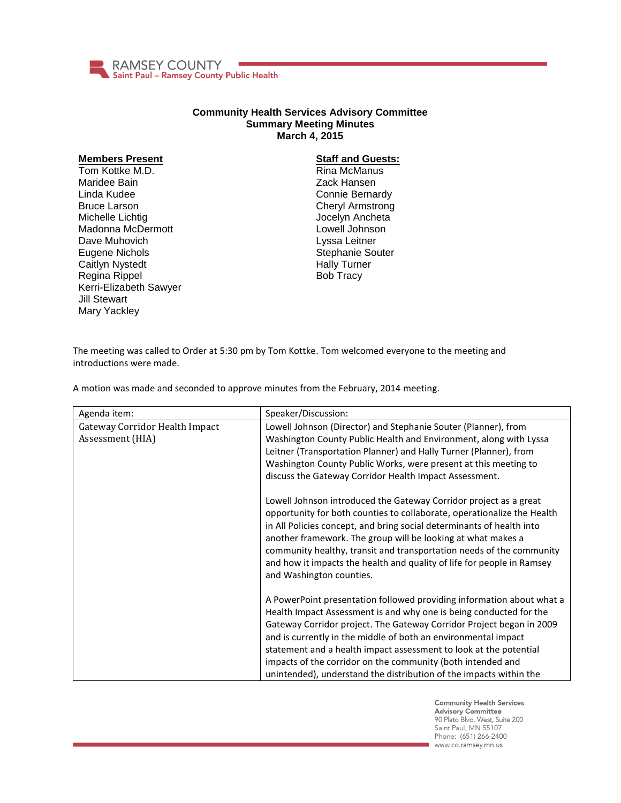

## **Community Health Services Advisory Committee Summary Meeting Minutes March 4, 2015**

## **Members Present**

Tom Kottke M.D. Maridee Bain Linda Kudee Bruce Larson Michelle Lichtig Madonna McDermott Dave Muhovich Eugene Nichols Caitlyn Nystedt Regina Rippel Kerri-Elizabeth Sawyer Jill Stewart Mary Yackley

## **Staff and Guests:**

Rina McManus Zack Hansen Connie Bernardy Cheryl Armstrong Jocelyn Ancheta Lowell Johnson Lyssa Leitner Stephanie Souter Hally Turner Bob Tracy

The meeting was called to Order at 5:30 pm by Tom Kottke. Tom welcomed everyone to the meeting and introductions were made.

A motion was made and seconded to approve minutes from the February, 2014 meeting.

| Agenda item:                                       | Speaker/Discussion:                                                                                                                                                                                                                                                                                                                                                                                                                                                                             |
|----------------------------------------------------|-------------------------------------------------------------------------------------------------------------------------------------------------------------------------------------------------------------------------------------------------------------------------------------------------------------------------------------------------------------------------------------------------------------------------------------------------------------------------------------------------|
| Gateway Corridor Health Impact<br>Assessment (HIA) | Lowell Johnson (Director) and Stephanie Souter (Planner), from<br>Washington County Public Health and Environment, along with Lyssa<br>Leitner (Transportation Planner) and Hally Turner (Planner), from<br>Washington County Public Works, were present at this meeting to<br>discuss the Gateway Corridor Health Impact Assessment.                                                                                                                                                           |
|                                                    | Lowell Johnson introduced the Gateway Corridor project as a great<br>opportunity for both counties to collaborate, operationalize the Health<br>in All Policies concept, and bring social determinants of health into<br>another framework. The group will be looking at what makes a<br>community healthy, transit and transportation needs of the community<br>and how it impacts the health and quality of life for people in Ramsey<br>and Washington counties.                             |
|                                                    | A PowerPoint presentation followed providing information about what a<br>Health Impact Assessment is and why one is being conducted for the<br>Gateway Corridor project. The Gateway Corridor Project began in 2009<br>and is currently in the middle of both an environmental impact<br>statement and a health impact assessment to look at the potential<br>impacts of the corridor on the community (both intended and<br>unintended), understand the distribution of the impacts within the |

**Community Health Services Advisory Committee** 90 Plato Blvd. West, Suite 200 Saint Paul, MN 55107 Phone: (651) 266-2400 www.co.ramsey.mn.us